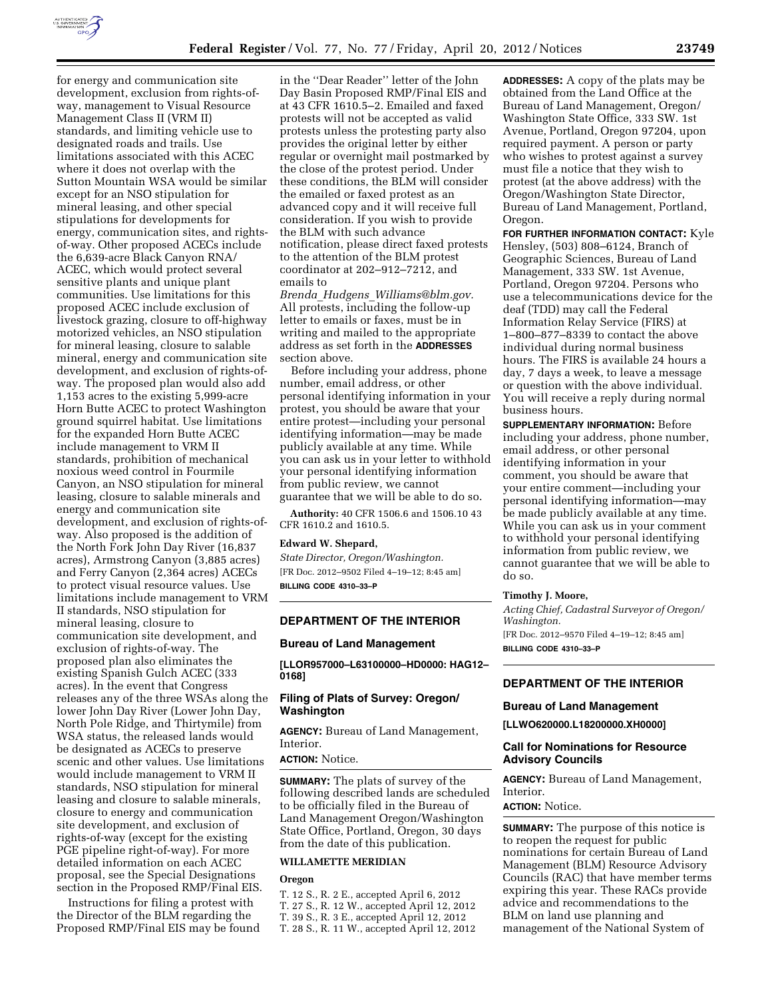

for energy and communication site development, exclusion from rights-ofway, management to Visual Resource Management Class II (VRM II) standards, and limiting vehicle use to designated roads and trails. Use limitations associated with this ACEC where it does not overlap with the Sutton Mountain WSA would be similar except for an NSO stipulation for mineral leasing, and other special stipulations for developments for energy, communication sites, and rightsof-way. Other proposed ACECs include the 6,639-acre Black Canyon RNA/ ACEC, which would protect several sensitive plants and unique plant communities. Use limitations for this proposed ACEC include exclusion of livestock grazing, closure to off-highway motorized vehicles, an NSO stipulation for mineral leasing, closure to salable mineral, energy and communication site development, and exclusion of rights-ofway. The proposed plan would also add 1,153 acres to the existing 5,999-acre Horn Butte ACEC to protect Washington ground squirrel habitat. Use limitations for the expanded Horn Butte ACEC include management to VRM II standards, prohibition of mechanical noxious weed control in Fourmile Canyon, an NSO stipulation for mineral leasing, closure to salable minerals and energy and communication site development, and exclusion of rights-ofway. Also proposed is the addition of the North Fork John Day River (16,837 acres), Armstrong Canyon (3,885 acres) and Ferry Canyon (2,364 acres) ACECs to protect visual resource values. Use limitations include management to VRM II standards, NSO stipulation for mineral leasing, closure to communication site development, and exclusion of rights-of-way. The proposed plan also eliminates the existing Spanish Gulch ACEC (333 acres). In the event that Congress releases any of the three WSAs along the lower John Day River (Lower John Day, North Pole Ridge, and Thirtymile) from WSA status, the released lands would be designated as ACECs to preserve scenic and other values. Use limitations would include management to VRM II standards, NSO stipulation for mineral leasing and closure to salable minerals, closure to energy and communication site development, and exclusion of rights-of-way (except for the existing PGE pipeline right-of-way). For more detailed information on each ACEC proposal, see the Special Designations section in the Proposed RMP/Final EIS.

Instructions for filing a protest with the Director of the BLM regarding the Proposed RMP/Final EIS may be found

in the ''Dear Reader'' letter of the John Day Basin Proposed RMP/Final EIS and at 43 CFR 1610.5–2. Emailed and faxed protests will not be accepted as valid protests unless the protesting party also provides the original letter by either regular or overnight mail postmarked by the close of the protest period. Under these conditions, the BLM will consider the emailed or faxed protest as an advanced copy and it will receive full consideration. If you wish to provide the BLM with such advance notification, please direct faxed protests to the attention of the BLM protest coordinator at 202–912–7212, and emails to

*Brenda*\_*Hudgens*\_*[Williams@blm.gov.](mailto:Brenda_Hudgens_Williams@blm.gov)*  All protests, including the follow-up letter to emails or faxes, must be in writing and mailed to the appropriate address as set forth in the **ADDRESSES** section above.

Before including your address, phone number, email address, or other personal identifying information in your protest, you should be aware that your entire protest—including your personal identifying information—may be made publicly available at any time. While you can ask us in your letter to withhold your personal identifying information from public review, we cannot guarantee that we will be able to do so.

**Authority:** 40 CFR 1506.6 and 1506.10 43 CFR 1610.2 and 1610.5.

#### **Edward W. Shepard,**

*State Director, Oregon/Washington.*  [FR Doc. 2012–9502 Filed 4–19–12; 8:45 am] **BILLING CODE 4310–33–P** 

#### **DEPARTMENT OF THE INTERIOR**

#### **Bureau of Land Management**

**[LLOR957000–L63100000–HD0000: HAG12– 0168]** 

# **Filing of Plats of Survey: Oregon/ Washington**

**AGENCY:** Bureau of Land Management, **Interior** 

#### **ACTION:** Notice.

**SUMMARY:** The plats of survey of the following described lands are scheduled to be officially filed in the Bureau of Land Management Oregon/Washington State Office, Portland, Oregon, 30 days from the date of this publication.

### **WILLAMETTE MERIDIAN**

#### **Oregon**

- T. 12 S., R. 2 E., accepted April 6, 2012
- T. 27 S., R. 12 W., accepted April 12, 2012
- T. 39 S., R. 3 E., accepted April 12, 2012
- T. 28 S., R. 11 W., accepted April 12, 2012

**ADDRESSES:** A copy of the plats may be obtained from the Land Office at the Bureau of Land Management, Oregon/ Washington State Office, 333 SW. 1st Avenue, Portland, Oregon 97204, upon required payment. A person or party who wishes to protest against a survey must file a notice that they wish to protest (at the above address) with the Oregon/Washington State Director, Bureau of Land Management, Portland, Oregon.

**FOR FURTHER INFORMATION CONTACT:** Kyle Hensley, (503) 808–6124, Branch of Geographic Sciences, Bureau of Land Management, 333 SW. 1st Avenue, Portland, Oregon 97204. Persons who use a telecommunications device for the deaf (TDD) may call the Federal Information Relay Service (FIRS) at 1–800–877–8339 to contact the above individual during normal business hours. The FIRS is available 24 hours a day, 7 days a week, to leave a message or question with the above individual. You will receive a reply during normal business hours.

**SUPPLEMENTARY INFORMATION:** Before including your address, phone number, email address, or other personal identifying information in your comment, you should be aware that your entire comment—including your personal identifying information—may be made publicly available at any time. While you can ask us in your comment to withhold your personal identifying information from public review, we cannot guarantee that we will be able to do so.

#### **Timothy J. Moore,**

*Acting Chief, Cadastral Surveyor of Oregon/ Washington.*  [FR Doc. 2012–9570 Filed 4–19–12; 8:45 am] **BILLING CODE 4310–33–P** 

# **DEPARTMENT OF THE INTERIOR**

### **Bureau of Land Management**

**[LLWO620000.L18200000.XH0000]** 

#### **Call for Nominations for Resource Advisory Councils**

**AGENCY:** Bureau of Land Management, Interior.

# **ACTION:** Notice.

**SUMMARY:** The purpose of this notice is to reopen the request for public nominations for certain Bureau of Land Management (BLM) Resource Advisory Councils (RAC) that have member terms expiring this year. These RACs provide advice and recommendations to the BLM on land use planning and management of the National System of